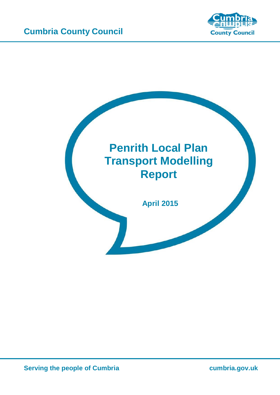

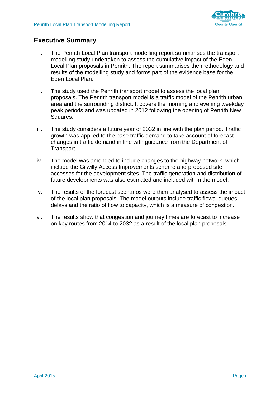

# **Executive Summary**

- i. The Penrith Local Plan transport modelling report summarises the transport modelling study undertaken to assess the cumulative impact of the Eden Local Plan proposals in Penrith. The report summarises the methodology and results of the modelling study and forms part of the evidence base for the Eden Local Plan.
- ii. The study used the Penrith transport model to assess the local plan proposals. The Penrith transport model is a traffic model of the Penrith urban area and the surrounding district. It covers the morning and evening weekday peak periods and was updated in 2012 following the opening of Penrith New Squares.
- iii. The study considers a future year of 2032 in line with the plan period. Traffic growth was applied to the base traffic demand to take account of forecast changes in traffic demand in line with guidance from the Department of Transport.
- iv. The model was amended to include changes to the highway network, which include the Gilwilly Access Improvements scheme and proposed site accesses for the development sites. The traffic generation and distribution of future developments was also estimated and included within the model.
- v. The results of the forecast scenarios were then analysed to assess the impact of the local plan proposals. The model outputs include traffic flows, queues, delays and the ratio of flow to capacity, which is a measure of congestion.
- vi. The results show that congestion and journey times are forecast to increase on key routes from 2014 to 2032 as a result of the local plan proposals.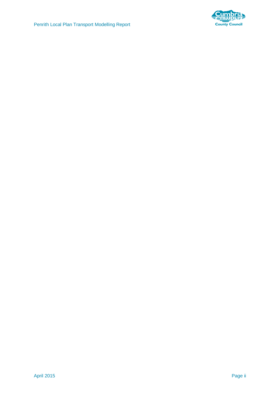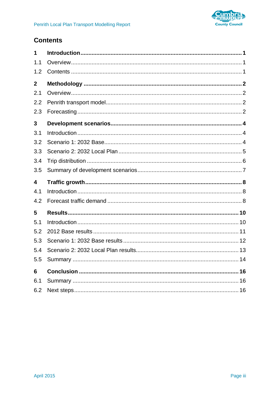

# **Contents**

| $\mathbf 1$             |  |
|-------------------------|--|
| 1.1                     |  |
| 1.2                     |  |
| $\mathbf{2}$            |  |
| 2.1                     |  |
| 2.2                     |  |
| 2.3                     |  |
| $\mathbf{3}$            |  |
| 3.1                     |  |
| 3.2                     |  |
| 3.3                     |  |
| 3.4                     |  |
| 3.5                     |  |
| $\overline{\mathbf{4}}$ |  |
| 4.1                     |  |
| 4.2                     |  |
| 5                       |  |
| 5.1                     |  |
| 5.2                     |  |
| 5.3                     |  |
| 5.4                     |  |
| 5.5                     |  |
| 6                       |  |
| 6.1                     |  |
| 6.2                     |  |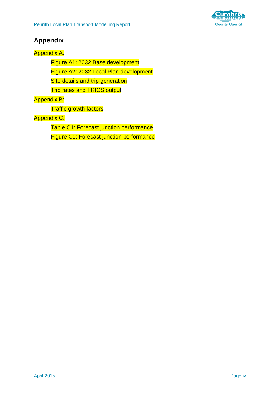

# **Appendix**

# Appendix A:

Figure A1: 2032 Base development Figure A2: 2032 Local Plan development **Site details and trip generation Trip rates and TRICS output** 

# Appendix B:

**Traffic growth factors** 

# Appendix C:

Table C1: Forecast junction performance

Figure C1: Forecast junction performance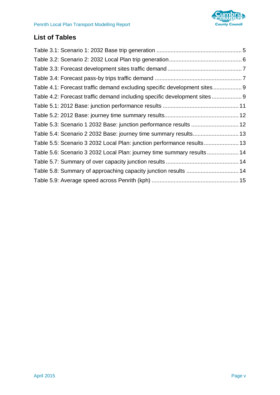

# **List of Tables**

| Table 4.1: Forecast traffic demand excluding specific development sites    |  |
|----------------------------------------------------------------------------|--|
| Table 4.2: Forecast traffic demand including specific development sites  9 |  |
|                                                                            |  |
|                                                                            |  |
| Table 5.3: Scenario 1 2032 Base: junction performance results  12          |  |
|                                                                            |  |
| Table 5.5: Scenario 3 2032 Local Plan: junction performance results 13     |  |
| Table 5.6: Scenario 3 2032 Local Plan: journey time summary results 14     |  |
|                                                                            |  |
|                                                                            |  |
|                                                                            |  |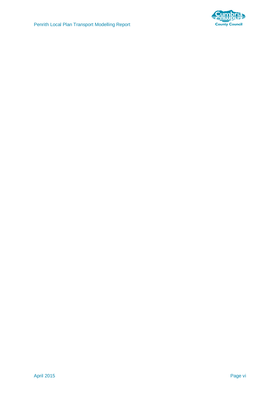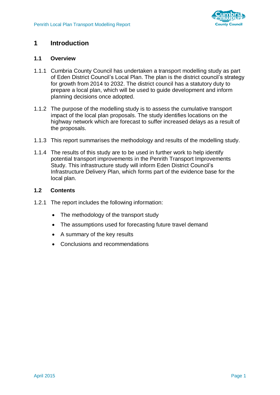

# <span id="page-8-0"></span>**1 Introduction**

## <span id="page-8-1"></span>**1.1 Overview**

- 1.1.1 Cumbria County Council has undertaken a transport modelling study as part of Eden District Council's Local Plan. The plan is the district council's strategy for growth from 2014 to 2032. The district council has a statutory duty to prepare a local plan, which will be used to guide development and inform planning decisions once adopted.
- 1.1.2 The purpose of the modelling study is to assess the cumulative transport impact of the local plan proposals. The study identifies locations on the highway network which are forecast to suffer increased delays as a result of the proposals.
- 1.1.3 This report summarises the methodology and results of the modelling study.
- 1.1.4 The results of this study are to be used in further work to help identify potential transport improvements in the Penrith Transport Improvements Study. This infrastructure study will inform Eden District Council's Infrastructure Delivery Plan, which forms part of the evidence base for the local plan.

#### <span id="page-8-2"></span>**1.2 Contents**

- 1.2.1 The report includes the following information:
	- The methodology of the transport study
	- The assumptions used for forecasting future travel demand
	- A summary of the key results
	- Conclusions and recommendations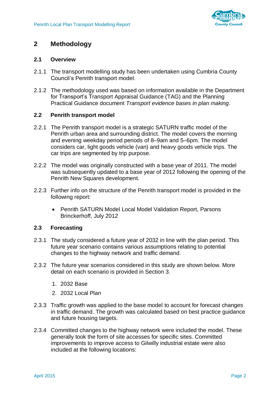

# <span id="page-9-0"></span>**2 Methodology**

#### <span id="page-9-1"></span>**2.1 Overview**

- 2.1.1 The transport modelling study has been undertaken using Cumbria County Council's Penrith transport model.
- 2.1.2 The methodology used was based on information available in the Department for Transport's Transport Appraisal Guidance (TAG) and the Planning Practical Guidance document *Transport evidence bases in plan making*.

## <span id="page-9-2"></span>**2.2 Penrith transport model**

- 2.2.1 The Penrith transport model is a strategic SATURN traffic model of the Penrith urban area and surrounding district. The model covers the morning and evening weekday period periods of 8–9am and 5–6pm. The model considers car, light goods vehicle (van) and heavy goods vehicle trips. The car trips are segmented by trip purpose.
- 2.2.2 The model was originally constructed with a base year of 2011. The model was subsequently updated to a base year of 2012 following the opening of the Penrith New Squares development.
- 2.2.3 Further info on the structure of the Penrith transport model is provided in the following report:
	- Penrith SATURN Model Local Model Validation Report, Parsons Brinckerhoff, July 2012

## <span id="page-9-3"></span>**2.3 Forecasting**

- 2.3.1 The study considered a future year of 2032 in line with the plan period. This future year scenario contains various assumptions relating to potential changes to the highway network and traffic demand.
- 2.3.2 The future year scenarios considered in this study are shown below. More detail on each scenario is provided in Section [3.](#page-11-0)
	- 1. 2032 Base
	- 2. 2032 Local Plan
- 2.3.3 Traffic growth was applied to the base model to account for forecast changes in traffic demand. The growth was calculated based on best practice guidance and future housing targets.
- 2.3.4 Committed changes to the highway network were included the model. These generally took the form of site accesses for specific sites. Committed improvements to improve access to Gilwilly industrial estate were also included at the following locations: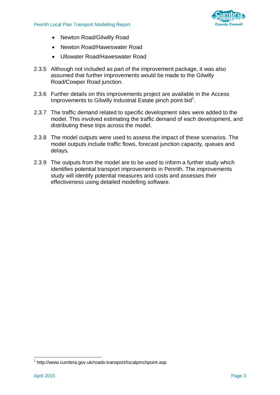

- Newton Road/Gilwilly Road
- Newton Road/Haweswater Road
- Ullswater Road/Haweswater Road
- 2.3.5 Although not included as part of the improvement package, it was also assumed that further improvements would be made to the Gilwilly Road/Cowper Road junction.
- 2.3.6 Further details on this improvements project are available in the Access Improvements to Gilwilly Industrial Estate pinch point bid $<sup>1</sup>$ .</sup>
- 2.3.7 The traffic demand related to specific development sites were added to the model. This involved estimating the traffic demand of each development, and distributing these trips across the model.
- 2.3.8 The model outputs were used to assess the impact of these scenarios. The model outputs include traffic flows, forecast junction capacity, queues and delays.
- 2.3.9 The outputs from the model are to be used to inform a further study which identifies potential transport improvements in Penrith. The improvements study will identify potential measures and costs and assesses their effectiveness using detailed modelling software.

 $\overline{1}$ 1 http://www.cumbria.gov.uk/roads-transport/localpinchpoint.asp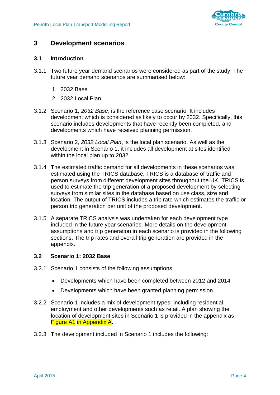

# <span id="page-11-0"></span>**3 Development scenarios**

## <span id="page-11-1"></span>**3.1 Introduction**

- 3.1.1 Two future year demand scenarios were considered as part of the study. The future year demand scenarios are summarised below:
	- 1. 2032 Base
	- 2. 2032 Local Plan
- 3.1.2 Scenario 1, *2032 Base*, is the reference case scenario. It includes development which is considered as likely to occur by 2032. Specifically, this scenario includes developments that have recently been completed, and developments which have received planning permission.
- 3.1.3 Scenario 2, *2032 Local Plan*, is the local plan scenario. As well as the development in Scenario 1, it includes all development at sites identified within the local plan up to 2032.
- 3.1.4 The estimated traffic demand for all developments in these scenarios was estimated using the TRICS database. TRICS is a database of traffic and person surveys from different development sites throughout the UK. TRICS is used to estimate the trip generation of a proposed development by selecting surveys from similar sites in the database based on use class, size and location. The output of TRICS includes a trip rate which estimates the traffic or person trip generation per unit of the proposed development.
- 3.1.5 A separate TRICS analysis was undertaken for each development type included in the future year scenarios. More details on the development assumptions and trip generation in each scenario is provided in the following sections. The trip rates and overall trip generation are provided in the appendix.

## <span id="page-11-2"></span>**3.2 Scenario 1: 2032 Base**

- 3.2.1 Scenario 1 consists of the following assumptions
	- Developments which have been completed between 2012 and 2014
	- Developments which have been granted planning permission
- 3.2.2 Scenario 1 includes a mix of development types, including residential, employment and other developments such as retail. A plan showing the location of development sites in Scenario 1 is provided in the appendix as Figure A1 in Appendix A.
- 3.2.3 The development included in Scenario 1 includes the following: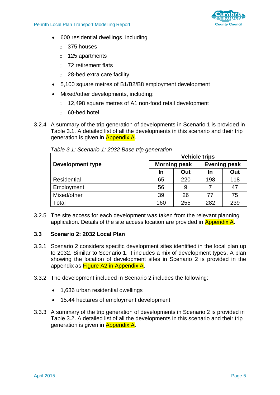- 600 residential dwellings, including
	- o 375 houses
	- o 125 apartments
	- o 72 retirement flats
	- o 28-bed extra care facility
- 5,100 square metres of B1/B2/B8 employment development
- Mixed/other developments, including:
	- o 12,498 square metres of A1 non-food retail development
	- o 60-bed hotel
- 3.2.4 A summary of the trip generation of developments in Scenario 1 is provided in [Table 3.1.](#page-12-1) A detailed list of all the developments in this scenario and their trip generation is given in Appendix A.

|                    | <b>Vehicle trips</b> |     |                     |     |  |
|--------------------|----------------------|-----|---------------------|-----|--|
| Development type   | <b>Morning peak</b>  |     | <b>Evening peak</b> |     |  |
|                    | In                   | Out | In                  | Out |  |
| <b>Residential</b> | 65                   | 220 | 198                 | 118 |  |
| Employment         | 56                   | 9   |                     | 47  |  |
| Mixed/other        | 39                   | 26  | 77                  | 75  |  |
| Total              | 160                  | 255 | 282                 | 239 |  |

<span id="page-12-1"></span>*Table 3.1: Scenario 1: 2032 Base trip generation* 

3.2.5 The site access for each development was taken from the relevant planning application. Details of the site access location are provided in **Appendix A**.

# <span id="page-12-0"></span>**3.3 Scenario 2: 2032 Local Plan**

- 3.3.1 Scenario 2 considers specific development sites identified in the local plan up to 2032. Similar to Scenario 1, it includes a mix of development types. A plan showing the location of development sites in Scenario 2 is provided in the appendix as Figure A2 in Appendix A.
- 3.3.2 The development included in Scenario 2 includes the following:
	- 1,636 urban residential dwellings
	- 15.44 hectares of employment development
- 3.3.3 A summary of the trip generation of developments in Scenario 2 is provided in [Table 3.2.](#page-13-1) A detailed list of all the developments in this scenario and their trip generation is given in Appendix A.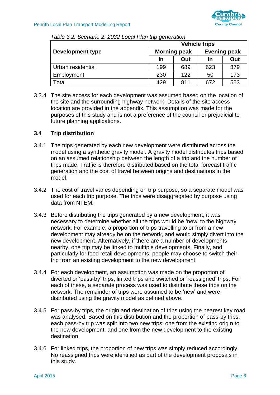<span id="page-13-1"></span>

|                   | <b>Vehicle trips</b> |     |                     |     |
|-------------------|----------------------|-----|---------------------|-----|
| Development type  | <b>Morning peak</b>  |     | <b>Evening peak</b> |     |
|                   | In                   | Out | In                  | Out |
| Urban residential | 199                  | 689 | 623                 | 379 |
| Employment        | 230                  | 122 | 50                  | 173 |
| Total             | 429                  | 811 | 672                 | 553 |

*Table 3.2: Scenario 2: 2032 Local Plan trip generation* 

3.3.4 The site access for each development was assumed based on the location of the site and the surrounding highway network. Details of the site access location are provided in the appendix. This assumption was made for the purposes of this study and is not a preference of the council or prejudicial to future planning applications.

## <span id="page-13-0"></span>**3.4 Trip distribution**

- 3.4.1 The trips generated by each new development were distributed across the model using a synthetic gravity model. A gravity model distributes trips based on an assumed relationship between the length of a trip and the number of trips made. Traffic is therefore distributed based on the total forecast traffic generation and the cost of travel between origins and destinations in the model.
- 3.4.2 The cost of travel varies depending on trip purpose, so a separate model was used for each trip purpose. The trips were disaggregated by purpose using data from NTEM.
- 3.4.3 Before distributing the trips generated by a new development, it was necessary to determine whether all the trips would be 'new' to the highway network. For example, a proportion of trips travelling to or from a new development may already be on the network, and would simply divert into the new development. Alternatively, if there are a number of developments nearby, one trip may be linked to multiple developments. Finally, and particularly for food retail developments, people may choose to switch their trip from an existing development to the new development.
- 3.4.4 For each development, an assumption was made on the proportion of diverted or 'pass-by' trips, linked trips and switched or 'reassigned' trips. For each of these, a separate process was used to distribute these trips on the network. The remainder of trips were assumed to be 'new' and were distributed using the gravity model as defined above.
- 3.4.5 For pass-by trips, the origin and destination of trips using the nearest key road was analysed. Based on this distribution and the proportion of pass-by trips, each pass-by trip was split into two new trips; one from the existing origin to the new development, and one from the new development to the existing destination.
- 3.4.6 For linked trips, the proportion of new trips was simply reduced accordingly. No reassigned trips were identified as part of the development proposals in this study.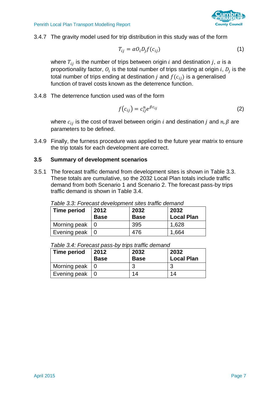

3.4.7 The gravity model used for trip distribution in this study was of the form

$$
T_{ij} = \alpha O_i D_j f(c_{ij})
$$
 (1)

where  $T_{ii}$  is the number of trips between origin *i* and destination *j*,  $\alpha$  is a proportionality factor,  $O_i$  is the total number of trips starting at origin  $i$ ,  $D_j$  is the total number of trips ending at destination *j* and  $f(c_{ii})$  is a generalised function of travel costs known as the deterrence function.

3.4.8 The deterrence function used was of the form

$$
f(c_{ij}) = c_{ij}^n e^{\beta c_{ij}} \tag{2}
$$

where  $c_{ii}$  is the cost of travel between origin *i* and destination *j* and  $n, \beta$  are parameters to be defined.

3.4.9 Finally, the furness procedure was applied to the future year matrix to ensure the trip totals for each development are correct.

## <span id="page-14-0"></span>**3.5 Summary of development scenarios**

3.5.1 The forecast traffic demand from development sites is shown in [Table 3.3.](#page-14-1) These totals are cumulative, so the 2032 Local Plan totals include traffic demand from both Scenario 1 and Scenario 2. The forecast pass-by trips traffic demand is shown in [Table 3.4.](#page-14-2)

<span id="page-14-1"></span>

| Time period                    | 2012<br><b>Base</b> | 2032<br><b>Base</b> | 2032<br><b>Local Plan</b> |
|--------------------------------|---------------------|---------------------|---------------------------|
| Morning peak $\vert 0 \rangle$ |                     | 395                 | 1.628                     |
| Evening peak                   |                     | 476                 | 1,664                     |

*Table 3.3: Forecast development sites traffic demand* 

<span id="page-14-2"></span>

| Table 3.4: Forecast pass-by trips traffic demand |  |  |  |  |
|--------------------------------------------------|--|--|--|--|
|--------------------------------------------------|--|--|--|--|

| <b>Time period</b>             | 2012<br><b>Base</b> | 2032<br><b>Base</b> | 2032<br><b>Local Plan</b> |
|--------------------------------|---------------------|---------------------|---------------------------|
| Morning peak $\vert 0 \rangle$ |                     |                     | n                         |
| Evening peak $\vert 0 \vert$   |                     | 14                  | 14                        |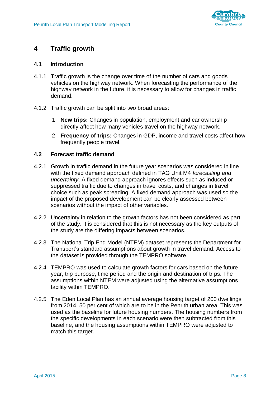

# <span id="page-15-0"></span>**4 Traffic growth**

#### <span id="page-15-1"></span>**4.1 Introduction**

- 4.1.1 Traffic growth is the change over time of the number of cars and goods vehicles on the highway network. When forecasting the performance of the highway network in the future, it is necessary to allow for changes in traffic demand.
- 4.1.2 Traffic growth can be split into two broad areas:
	- 1. **New trips:** Changes in population, employment and car ownership directly affect how many vehicles travel on the highway network.
	- 2. **Frequency of trips:** Changes in GDP, income and travel costs affect how frequently people travel.

#### <span id="page-15-2"></span>**4.2 Forecast traffic demand**

- 4.2.1 Growth in traffic demand in the future year scenarios was considered in line with the fixed demand approach defined in TAG Unit M4 *forecasting and uncertainty*. A fixed demand approach ignores effects such as induced or suppressed traffic due to changes in travel costs, and changes in travel choice such as peak spreading. A fixed demand approach was used so the impact of the proposed development can be clearly assessed between scenarios without the impact of other variables.
- 4.2.2 Uncertainty in relation to the growth factors has not been considered as part of the study. It is considered that this is not necessary as the key outputs of the study are the differing impacts between scenarios.
- 4.2.3 The National Trip End Model (NTEM) dataset represents the Department for Transport's standard assumptions about growth in travel demand. Access to the dataset is provided through the TEMPRO software.
- 4.2.4 TEMPRO was used to calculate growth factors for cars based on the future year, trip purpose, time period and the origin and destination of trips. The assumptions within NTEM were adjusted using the alternative assumptions facility within TEMPRO.
- 4.2.5 The Eden Local Plan has an annual average housing target of 200 dwellings from 2014, 50 per cent of which are to be in the Penrith urban area. This was used as the baseline for future housing numbers. The housing numbers from the specific developments in each scenario were then subtracted from this baseline, and the housing assumptions within TEMPRO were adjusted to match this target.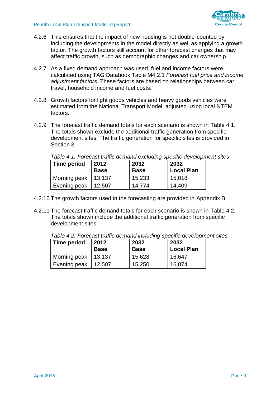

- 4.2.6 This ensures that the impact of new housing is not double-counted by including the developments in the model directly as well as applying a growth factor. The growth factors still account for other forecast changes that may affect traffic growth, such as demographic changes and car ownership.
- 4.2.7 As a fixed demand approach was used, fuel and income factors were calculated using TAG Databook Table M4.2.1 *Forecast fuel price and income adjustment factors*. These factors are based on relationships between car travel, household income and fuel costs.
- 4.2.8 Growth factors for light goods vehicles and heavy goods vehicles were estimated from the National Transport Model, adjusted using local NTEM factors.
- 4.2.9 The forecast traffic demand totals for each scenario is shown in [Table 4.1.](#page-16-0) The totals shown exclude the additional traffic generation from specific development sites. The traffic generation for specific sites is provided in Section [3.](#page-11-0)

| Time period  | 2012<br><b>Base</b> | 2032<br><b>Base</b> | 2032<br><b>Local Plan</b> |
|--------------|---------------------|---------------------|---------------------------|
| Morning peak | 13.137              | 15,233              | 15,018                    |
| Evening peak | 12,507              | 14.774              | 14,409                    |

<span id="page-16-0"></span>*Table 4.1: Forecast traffic demand excluding specific development sites* 

- 4.2.10 The growth factors used in the forecasting are provided in Appendix B.
- 4.2.11 The forecast traffic demand totals for each scenario is shown in [Table 4.2.](#page-16-1) The totals shown include the additional traffic generation from specific development sites.

<span id="page-16-1"></span>

| <b>Time period</b>      | 2012<br><b>Base</b> | 2032<br><b>Base</b> | 2032<br><b>Local Plan</b> |
|-------------------------|---------------------|---------------------|---------------------------|
| Morning peak            | 13,137              | 15,628              | 16,647                    |
| Evening peak   $12,507$ |                     | 15,250              | 16,074                    |

*Table 4.2: Forecast traffic demand including specific development sites*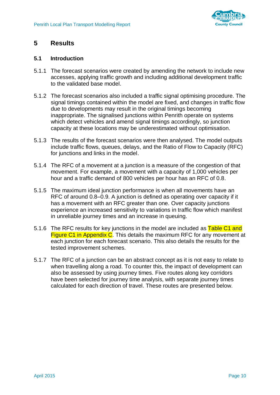

# <span id="page-17-0"></span>**5 Results**

# <span id="page-17-1"></span>**5.1 Introduction**

- 5.1.1 The forecast scenarios were created by amending the network to include new accesses, applying traffic growth and including additional development traffic to the validated base model.
- 5.1.2 The forecast scenarios also included a traffic signal optimising procedure. The signal timings contained within the model are fixed, and changes in traffic flow due to developments may result in the original timings becoming inappropriate. The signalised junctions within Penrith operate on systems which detect vehicles and amend signal timings accordingly, so junction capacity at these locations may be underestimated without optimisation.
- 5.1.3 The results of the forecast scenarios were then analysed. The model outputs include traffic flows, queues, delays, and the Ratio of Flow to Capacity (RFC) for junctions and links in the model.
- 5.1.4 The RFC of a movement at a junction is a measure of the congestion of that movement. For example, a movement with a capacity of 1,000 vehicles per hour and a traffic demand of 800 vehicles per hour has an RFC of 0.8.
- 5.1.5 The maximum ideal junction performance is when all movements have an RFC of around 0.8–0.9. A junction is defined as operating over capacity if it has a movement with an RFC greater than one. Over capacity junctions experience an increased sensitivity to variations in traffic flow which manifest in unreliable journey times and an increase in queuing.
- 5.1.6 The RFC results for key junctions in the model are included as Table C1 and Figure C1 in Appendix C. This details the maximum RFC for any movement at each junction for each forecast scenario. This also details the results for the tested improvement schemes.
- 5.1.7 The RFC of a junction can be an abstract concept as it is not easy to relate to when travelling along a road. To counter this, the impact of development can also be assessed by using journey times. Five routes along key corridors have been selected for journey time analysis, with separate journey times calculated for each direction of travel. These routes are presented below.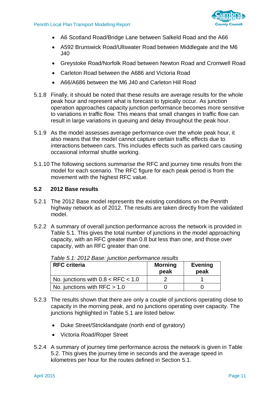

- A6 Scotland Road/Bridge Lane between Salkeld Road and the A66
- A592 Brunswick Road/Ullswater Road between Middlegate and the M6 J40
- Greystoke Road/Norfolk Road between Newton Road and Cromwell Road
- Carleton Road between the A686 and Victoria Road
- A66/A686 between the M6 J40 and Carleton Hill Road
- 5.1.8 Finally, it should be noted that these results are average results for the whole peak hour and represent what is forecast to typically occur. As junction operation approaches capacity junction performance becomes more sensitive to variations in traffic flow. This means that small changes in traffic flow can result in large variations in queuing and delay throughout the peak hour.
- 5.1.9 As the model assesses average performance over the whole peak hour, it also means that the model cannot capture certain traffic effects due to interactions between cars. This includes effects such as parked cars causing occasional informal shuttle working.
- 5.1.10 The following sections summarise the RFC and journey time results from the model for each scenario. The RFC figure for each peak period is from the movement with the highest RFC value.

## <span id="page-18-0"></span>**5.2 2012 Base results**

- 5.2.1 The 2012 Base model represents the existing conditions on the Penrith highway network as of 2012. The results are taken directly from the validated model.
- 5.2.2 A summary of overall junction performance across the network is provided in [Table 5.1.](#page-18-1) This gives the total number of junctions in the model approaching capacity, with an RFC greater than 0.8 but less than one, and those over capacity, with an RFC greater than one.

| <b>RFC</b> criteria                    | <b>Morning</b><br>peak | <b>Evening</b><br>peak |
|----------------------------------------|------------------------|------------------------|
| No. junctions with $0.8 <$ RFC $< 1.0$ |                        |                        |
| No. junctions with $RFC > 1.0$         |                        |                        |

- <span id="page-18-1"></span>*Table 5.1: 2012 Base: junction performance results*
- <span id="page-18-2"></span>5.2.3 The results shown that there are only a couple of junctions operating close to capacity in the morning peak, and no junctions operating over capacity. The junctions highlighted in [Table 5.1](#page-18-1) are listed below:
	- Duke Street/Stricklandgate (north end of gyratory)
	- Victoria Road/Roper Street
- 5.2.4 A summary of journey time performance across the network is given in [Table](#page-19-1)  [5.2.](#page-19-1) This gives the journey time in seconds and the average speed in kilometres per hour for the routes defined in Section [5.1.](#page-17-1)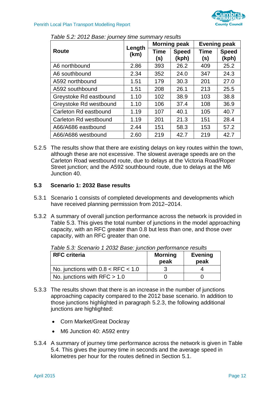

|                        |                | <b>Morning peak</b> |                       | <b>Evening peak</b> |                       |
|------------------------|----------------|---------------------|-----------------------|---------------------|-----------------------|
| <b>Route</b>           | Length<br>(km) | Time<br>(s)         | <b>Speed</b><br>(kph) | <b>Time</b><br>(s)  | <b>Speed</b><br>(kph) |
| A6 northbound          | 2.86           | 393                 | 26.2                  | 409                 | 25.2                  |
| A6 southbound          | 2.34           | 352                 | 24.0                  | 347                 | 24.3                  |
| A592 northbound        | 1.51           | 179                 | 30.3                  | 201                 | 27.0                  |
| A592 southbound        | 1.51           | 208                 | 26.1                  | 213                 | 25.5                  |
| Greystoke Rd eastbound | 1.10           | 102                 | 38.9                  | 103                 | 38.8                  |
| Greystoke Rd westbound | 1.10           | 106                 | 37.4                  | 108                 | 36.9                  |
| Carleton Rd eastbound  | 1.19           | 107                 | 40.1                  | 105                 | 40.7                  |
| Carleton Rd westbound  | 1.19           | 201                 | 21.3                  | 151                 | 28.4                  |
| A66/A686 eastbound     | 2.44           | 151                 | 58.3                  | 153                 | 57.2                  |
| A66/A686 westbound     | 2.60           | 219                 | 42.7                  | 219                 | 42.7                  |

<span id="page-19-1"></span>*Table 5.2: 2012 Base: journey time summary results* 

5.2.5 The results show that there are existing delays on key routes within the town, although these are not excessive. The slowest average speeds are on the Carleton Road westbound route, due to delays at the Victoria Road/Roper Street junction; and the A592 southbound route, due to delays at the M6 Junction 40.

# <span id="page-19-0"></span>**5.3 Scenario 1: 2032 Base results**

- 5.3.1 Scenario 1 consists of completed developments and developments which have received planning permission from 2012–2014.
- 5.3.2 A summary of overall junction performance across the network is provided in [Table 5.3.](#page-19-2) This gives the total number of junctions in the model approaching capacity, with an RFC greater than 0.8 but less than one, and those over capacity, with an RFC greater than one.

<span id="page-19-2"></span>

| <b>RFC criteria</b>                    | <b>Morning</b><br>peak | <b>Evening</b><br>peak |
|----------------------------------------|------------------------|------------------------|
| No. junctions with $0.8 <$ RFC $< 1.0$ |                        |                        |
| No. junctions with $RFC > 1.0$         |                        |                        |

*Table 5.3: Scenario 1 2032 Base: junction performance results* 

- <span id="page-19-3"></span>5.3.3 The results shown that there is an increase in the number of junctions approaching capacity compared to the 2012 base scenario. In addition to those junctions highlighted in paragraph [5.2.3,](#page-18-2) the following additional junctions are highlighted:
	- Corn Market/Great Dockray
	- M6 Junction 40: A592 entry
- 5.3.4 A summary of journey time performance across the network is given in [Table](#page-20-1)  [5.4.](#page-20-1) This gives the journey time in seconds and the average speed in kilometres per hour for the routes defined in Section [5.1.](#page-17-1)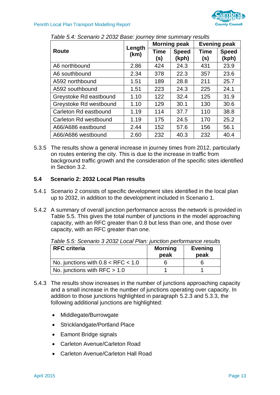

<span id="page-20-1"></span>

|                        |                | <b>Morning peak</b> |                       | <b>Evening peak</b> |                       |
|------------------------|----------------|---------------------|-----------------------|---------------------|-----------------------|
| <b>Route</b>           | Length<br>(km) | <b>Time</b><br>(s)  | <b>Speed</b><br>(kph) | <b>Time</b><br>(s)  | <b>Speed</b><br>(kph) |
| A6 northbound          | 2.86           | 424                 | 24.3                  | 431                 | 23.9                  |
| A6 southbound          | 2.34           | 378                 | 22.3                  | 357                 | 23.6                  |
| A592 northbound        | 1.51           | 189                 | 28.8                  | 211                 | 25.7                  |
| A592 southbound        | 1.51           | 223                 | 24.3                  | 225                 | 24.1                  |
| Greystoke Rd eastbound | 1.10           | 122                 | 32.4                  | 125                 | 31.9                  |
| Greystoke Rd westbound | 1.10           | 129                 | 30.1                  | 130                 | 30.6                  |
| Carleton Rd eastbound  | 1.19           | 114                 | 37.7                  | 110                 | 38.8                  |
| Carleton Rd westbound  | 1.19           | 175                 | 24.5                  | 170                 | 25.2                  |
| A66/A686 eastbound     | 2.44           | 152                 | 57.6                  | 156                 | 56.1                  |
| A66/A686 westbound     | 2.60           | 232                 | 40.3                  | 232                 | 40.4                  |

*Table 5.4: Scenario 2 2032 Base: journey time summary results* 

5.3.5 The results show a general increase in journey times from 2012, particularly on routes entering the city. This is due to the increase in traffic from background traffic growth and the consideration of the specific sites identified in Section [3.2.](#page-11-2)

# <span id="page-20-0"></span>**5.4 Scenario 2: 2032 Local Plan results**

- 5.4.1 Scenario 2 consists of specific development sites identified in the local plan up to 2032, in addition to the development included in Scenario 1.
- 5.4.2 A summary of overall junction performance across the network is provided in [Table 5.5.](#page-20-2) This gives the total number of junctions in the model approaching capacity, with an RFC greater than 0.8 but less than one, and those over capacity, with an RFC greater than one.

| <u>Fable J.J. Ocenano J zoJz Locan Tan. junction penomiance results</u> |                        |                        |  |
|-------------------------------------------------------------------------|------------------------|------------------------|--|
| <b>RFC criteria</b>                                                     | <b>Morning</b><br>peak | <b>Evening</b><br>peak |  |
| No. junctions with $0.8 <$ RFC $< 1.0$                                  |                        |                        |  |
| No. junctions with $RFC > 1.0$                                          |                        |                        |  |

<span id="page-20-2"></span>*Table 5.5: Scenario 3 2032 Local Plan: junction performance results* 

- 5.4.3 The results show increases in the number of junctions approaching capacity and a small increase in the number of junctions operating over capacity. In addition to those junctions highlighted in paragraph [5.2.3](#page-18-2) and [5.3.3,](#page-19-3) the following additional junctions are highlighted:
	- Middlegate/Burrowgate
	- Stricklandgate/Portland Place
	- Eamont Bridge signals
	- Carleton Avenue/Carleton Road
	- Carleton Avenue/Carleton Hall Road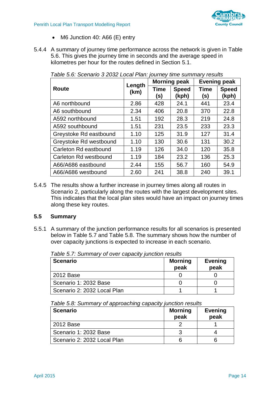

- M6 Junction 40: A66 (E) entry
- 5.4.4 A summary of journey time performance across the network is given in [Table](#page-21-1)  [5.6.](#page-21-1) This gives the journey time in seconds and the average speed in kilometres per hour for the routes defined in Section [5.1.](#page-17-1)

|                        |                | <b>Morning peak</b> |                       | <b>Evening peak</b> |                       |
|------------------------|----------------|---------------------|-----------------------|---------------------|-----------------------|
| <b>Route</b>           | Length<br>(km) | <b>Time</b><br>(s)  | <b>Speed</b><br>(kph) | <b>Time</b><br>(s)  | <b>Speed</b><br>(kph) |
| A6 northbound          | 2.86           | 428                 | 24.1                  | 441                 | 23.4                  |
| A6 southbound          | 2.34           | 406                 | 20.8                  | 370                 | 22.8                  |
| A592 northbound        | 1.51           | 192                 | 28.3                  | 219                 | 24.8                  |
| A592 southbound        | 1.51           | 231                 | 23.5                  | 233                 | 23.3                  |
| Greystoke Rd eastbound | 1.10           | 125                 | 31.9                  | 127                 | 31.4                  |
| Greystoke Rd westbound | 1.10           | 130                 | 30.6                  | 131                 | 30.2                  |
| Carleton Rd eastbound  | 1.19           | 126                 | 34.0                  | 120                 | 35.8                  |
| Carleton Rd westbound  | 1.19           | 184                 | 23.2                  | 136                 | 25.3                  |
| A66/A686 eastbound     | 2.44           | 155                 | 56.7                  | 160                 | 54.9                  |
| A66/A686 westbound     | 2.60           | 241                 | 38.8                  | 240                 | 39.1                  |

<span id="page-21-1"></span>*Table 5.6: Scenario 3 2032 Local Plan: journey time summary results* 

5.4.5 The results show a further increase in journey times along all routes in Scenario 2, particularly along the routes with the largest development sites. This indicates that the local plan sites would have an impact on journey times along these key routes.

## <span id="page-21-0"></span>**5.5 Summary**

5.5.1 A summary of the junction performance results for all scenarios is presented below in [Table 5.7](#page-21-2) and [Table 5.8.](#page-21-3) The summary shows how the number of over capacity junctions is expected to increase in each scenario.

<span id="page-21-2"></span>

| <b>Scenario</b>             | <b>Morning</b><br>peak | Evening<br>peak |
|-----------------------------|------------------------|-----------------|
| 2012 Base                   |                        |                 |
| Scenario 1: 2032 Base       |                        |                 |
| Scenario 2: 2032 Local Plan |                        |                 |

*Table 5.7: Summary of over capacity junction results* 

<span id="page-21-3"></span>*Table 5.8: Summary of approaching capacity junction results* 

| <b>Scenario</b>             | <b>Morning</b><br>peak | <b>Evening</b><br>peak |
|-----------------------------|------------------------|------------------------|
| 2012 Base                   |                        |                        |
| Scenario 1: 2032 Base       |                        |                        |
| Scenario 2: 2032 Local Plan |                        |                        |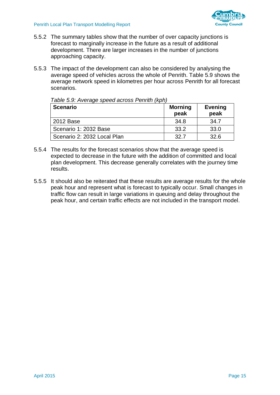- 5.5.2 The summary tables show that the number of over capacity junctions is forecast to marginally increase in the future as a result of additional development. There are larger increases in the number of junctions approaching capacity.
- 5.5.3 The impact of the development can also be considered by analysing the average speed of vehicles across the whole of Penrith. [Table 5.9](#page-22-0) shows the average network speed in kilometres per hour across Penrith for all forecast scenarios.

<span id="page-22-0"></span>

| Table 5.9. Average speed across Femilin (KpH)<br><b>Scenario</b> | <b>Morning</b><br>peak | Evening<br>peak |
|------------------------------------------------------------------|------------------------|-----------------|
| 2012 Base                                                        | 34.8                   | 34.7            |
| Scenario 1: 2032 Base                                            | 33.2                   | 33.0            |
| Scenario 2: 2032 Local Plan                                      | 32.7                   | 32.6            |

*Table 5.9: Average speed across Penrith (kph)* 

- 5.5.4 The results for the forecast scenarios show that the average speed is expected to decrease in the future with the addition of committed and local plan development. This decrease generally correlates with the journey time results.
- 5.5.5 It should also be reiterated that these results are average results for the whole peak hour and represent what is forecast to typically occur. Small changes in traffic flow can result in large variations in queuing and delay throughout the peak hour, and certain traffic effects are not included in the transport model.